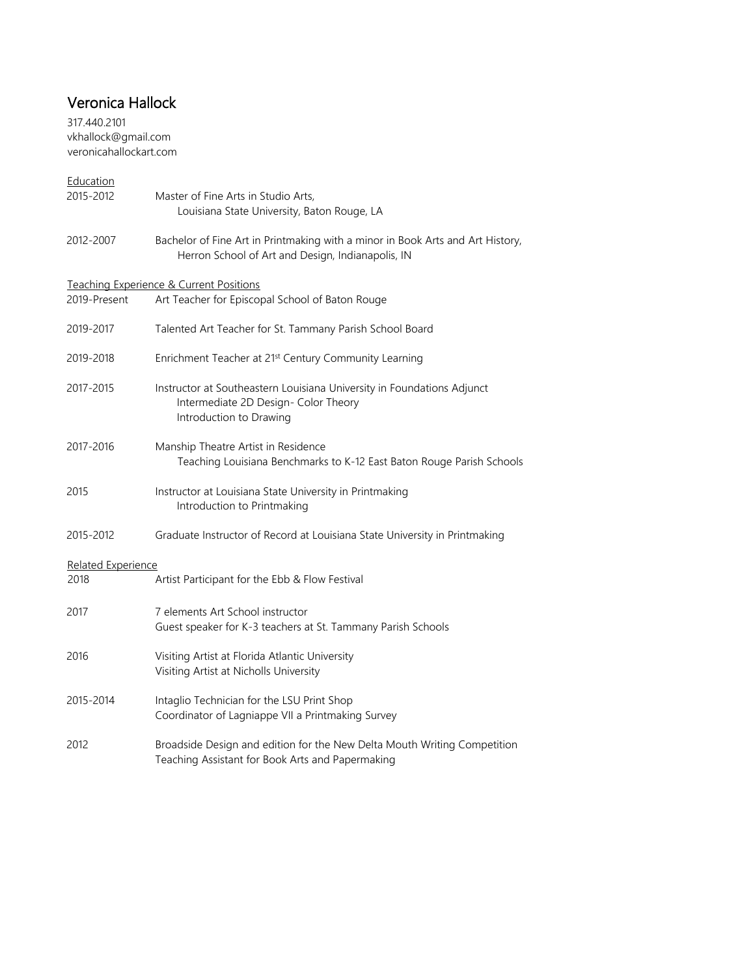## Veronica Hallock

317.440.2101 vkhallock@gmail.com veronicahallockart.com

| Education          |                                                                                                                                           |
|--------------------|-------------------------------------------------------------------------------------------------------------------------------------------|
| 2015-2012          | Master of Fine Arts in Studio Arts,<br>Louisiana State University, Baton Rouge, LA                                                        |
| 2012-2007          | Bachelor of Fine Art in Printmaking with a minor in Book Arts and Art History,<br>Herron School of Art and Design, Indianapolis, IN       |
|                    | Teaching Experience & Current Positions                                                                                                   |
| 2019-Present       | Art Teacher for Episcopal School of Baton Rouge                                                                                           |
| 2019-2017          | Talented Art Teacher for St. Tammany Parish School Board                                                                                  |
| 2019-2018          | Enrichment Teacher at 21 <sup>st</sup> Century Community Learning                                                                         |
| 2017-2015          | Instructor at Southeastern Louisiana University in Foundations Adjunct<br>Intermediate 2D Design- Color Theory<br>Introduction to Drawing |
| 2017-2016          | Manship Theatre Artist in Residence<br>Teaching Louisiana Benchmarks to K-12 East Baton Rouge Parish Schools                              |
| 2015               | Instructor at Louisiana State University in Printmaking<br>Introduction to Printmaking                                                    |
| 2015-2012          | Graduate Instructor of Record at Louisiana State University in Printmaking                                                                |
| Related Experience |                                                                                                                                           |
| 2018               | Artist Participant for the Ebb & Flow Festival                                                                                            |
| 2017               | 7 elements Art School instructor<br>Guest speaker for K-3 teachers at St. Tammany Parish Schools                                          |
| 2016               | Visiting Artist at Florida Atlantic University<br>Visiting Artist at Nicholls University                                                  |
| 2015-2014          | Intaglio Technician for the LSU Print Shop<br>Coordinator of Lagniappe VII a Printmaking Survey                                           |
| 2012               | Broadside Design and edition for the New Delta Mouth Writing Competition<br>Teaching Assistant for Book Arts and Papermaking              |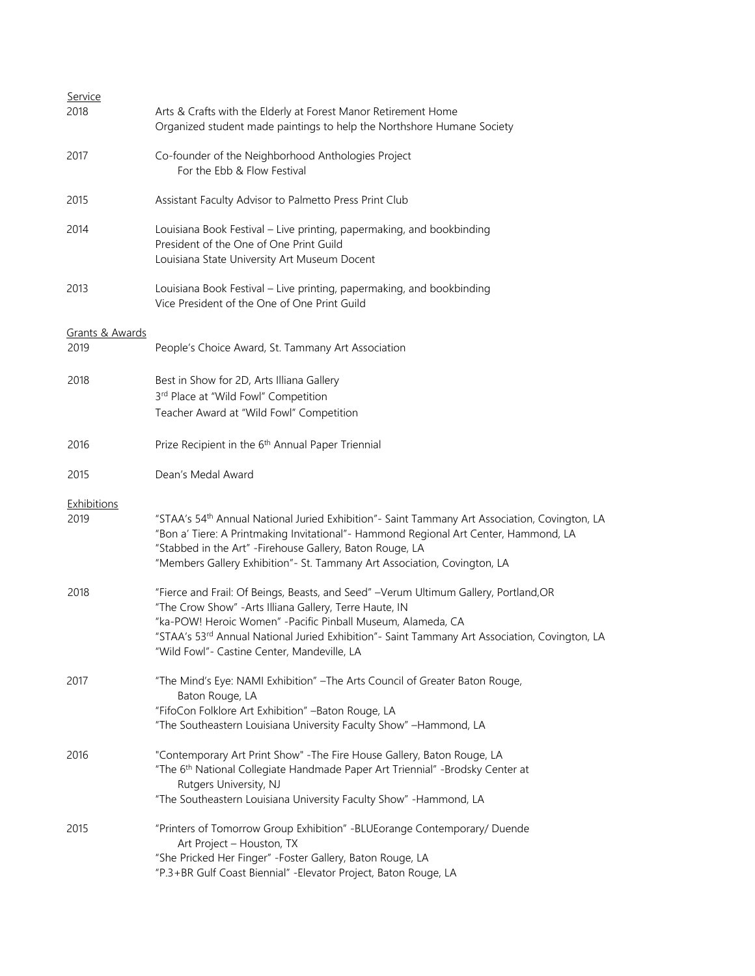| <u>Service</u>          |                                                                                                                                                                                                                                                                                                                                            |
|-------------------------|--------------------------------------------------------------------------------------------------------------------------------------------------------------------------------------------------------------------------------------------------------------------------------------------------------------------------------------------|
| 2018                    | Arts & Crafts with the Elderly at Forest Manor Retirement Home<br>Organized student made paintings to help the Northshore Humane Society                                                                                                                                                                                                   |
| 2017                    | Co-founder of the Neighborhood Anthologies Project<br>For the Ebb & Flow Festival                                                                                                                                                                                                                                                          |
| 2015                    | Assistant Faculty Advisor to Palmetto Press Print Club                                                                                                                                                                                                                                                                                     |
| 2014                    | Louisiana Book Festival - Live printing, papermaking, and bookbinding<br>President of the One of One Print Guild<br>Louisiana State University Art Museum Docent                                                                                                                                                                           |
| 2013                    | Louisiana Book Festival - Live printing, papermaking, and bookbinding<br>Vice President of the One of One Print Guild                                                                                                                                                                                                                      |
|                         |                                                                                                                                                                                                                                                                                                                                            |
| Grants & Awards<br>2019 | People's Choice Award, St. Tammany Art Association                                                                                                                                                                                                                                                                                         |
| 2018                    | Best in Show for 2D, Arts Illiana Gallery                                                                                                                                                                                                                                                                                                  |
|                         | 3rd Place at "Wild Fowl" Competition                                                                                                                                                                                                                                                                                                       |
|                         | Teacher Award at "Wild Fowl" Competition                                                                                                                                                                                                                                                                                                   |
|                         |                                                                                                                                                                                                                                                                                                                                            |
| 2016                    | Prize Recipient in the 6 <sup>th</sup> Annual Paper Triennial                                                                                                                                                                                                                                                                              |
| 2015                    | Dean's Medal Award                                                                                                                                                                                                                                                                                                                         |
| <b>Exhibitions</b>      |                                                                                                                                                                                                                                                                                                                                            |
| 2019                    | "STAA's 54 <sup>th</sup> Annual National Juried Exhibition"- Saint Tammany Art Association, Covington, LA<br>"Bon a' Tiere: A Printmaking Invitational"- Hammond Regional Art Center, Hammond, LA<br>"Stabbed in the Art" - Firehouse Gallery, Baton Rouge, LA<br>"Members Gallery Exhibition"- St. Tammany Art Association, Covington, LA |
| 2018                    | "Fierce and Frail: Of Beings, Beasts, and Seed" -Verum Ultimum Gallery, Portland, OR<br>"The Crow Show" - Arts Illiana Gallery, Terre Haute, IN                                                                                                                                                                                            |
|                         | "ka-POW! Heroic Women" - Pacific Pinball Museum, Alameda, CA                                                                                                                                                                                                                                                                               |
|                         | "STAA's 53 <sup>rd</sup> Annual National Juried Exhibition"- Saint Tammany Art Association, Covington, LA<br>"Wild Fowl"- Castine Center, Mandeville, LA                                                                                                                                                                                   |
| 2017                    | "The Mind's Eye: NAMI Exhibition" - The Arts Council of Greater Baton Rouge,<br>Baton Rouge, LA                                                                                                                                                                                                                                            |
|                         | "FifoCon Folklore Art Exhibition" - Baton Rouge, LA                                                                                                                                                                                                                                                                                        |
|                         | "The Southeastern Louisiana University Faculty Show" -Hammond, LA                                                                                                                                                                                                                                                                          |
| 2016                    | "Contemporary Art Print Show" - The Fire House Gallery, Baton Rouge, LA                                                                                                                                                                                                                                                                    |
|                         | "The 6 <sup>th</sup> National Collegiate Handmade Paper Art Triennial" -Brodsky Center at                                                                                                                                                                                                                                                  |
|                         | Rutgers University, NJ                                                                                                                                                                                                                                                                                                                     |
|                         | "The Southeastern Louisiana University Faculty Show" - Hammond, LA                                                                                                                                                                                                                                                                         |
| 2015                    | "Printers of Tomorrow Group Exhibition" - BLUE orange Contemporary/ Duende<br>Art Project - Houston, TX                                                                                                                                                                                                                                    |
|                         | "She Pricked Her Finger" - Foster Gallery, Baton Rouge, LA                                                                                                                                                                                                                                                                                 |
|                         |                                                                                                                                                                                                                                                                                                                                            |
|                         | "P.3+BR Gulf Coast Biennial" - Elevator Project, Baton Rouge, LA                                                                                                                                                                                                                                                                           |